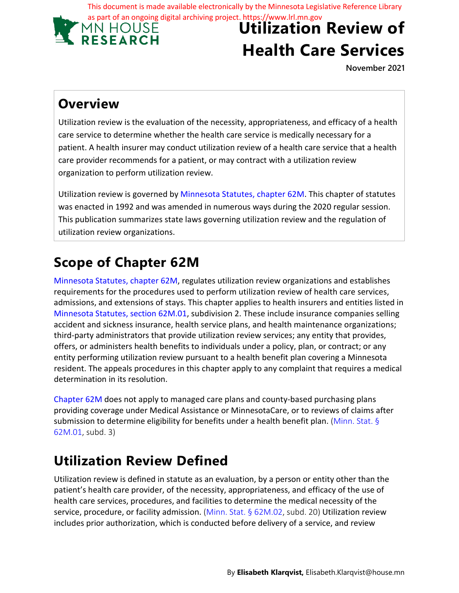This document is made available electronically by the Minnesota Legislative Reference Library



# **Utilization Review of Health Care Services**

**November 2021**

### **Overview**

Utilization review is the evaluation of the necessity, appropriateness, and efficacy of a health care service to determine whether the health care service is medically necessary for a patient. A health insurer may conduct utilization review of a health care service that a health care provider recommends for a patient, or may contract with a utilization review organization to perform utilization review.

Utilization review is governed by Minnesota Statutes, chapter 62M. This chapter of statutes was enacted in 1992 and was amended in numerous ways during the 2020 regular session. This publication summarizes state laws governing utilization review and the regulation of utilization review organizations.

## **Scope of Chapter 62M**

Minnesota Statutes, chapter 62M, regulates utilization review organizations and establishes requirements for the procedures used to perform utilization review of health care services, admissions, and extensions of stays. This chapter applies to health insurers and entities listed in Minnesota Statutes, section 62M.01, subdivision 2. These include insurance companies selling accident and sickness insurance, health service plans, and health maintenance organizations; third-party administrators that provide utilization review services; any entity that provides, offers, or administers health benefits to individuals under a policy, plan, or contract; or any entity performing utilization review pursuant to a health benefit plan covering a Minnesota resident. The appeals procedures in this chapter apply to any complaint that requires a medical determination in its resolution.

Chapter 62M does not apply to managed care plans and county-based purchasing plans providing coverage under Medical Assistance or MinnesotaCare, or to reviews of claims after submission to determine eligibility for benefits under a health benefit plan. (Minn. Stat. § 62M.01, subd. 3)

### **Utilization Review Defined**

Utilization review is defined in statute as an evaluation, by a person or entity other than the patient's health care provider, of the necessity, appropriateness, and efficacy of the use of health care services, procedures, and facilities to determine the medical necessity of the service, procedure, or facility admission. (Minn. Stat. § 62M.02, subd. 20) Utilization review includes prior authorization, which is conducted before delivery of a service, and review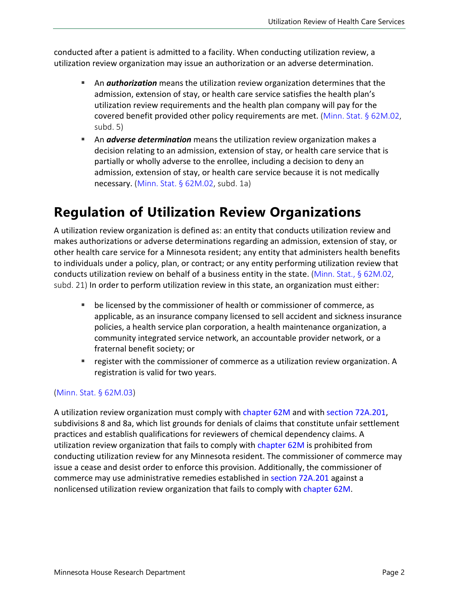conducted after a patient is admitted to a facility. When conducting utilization review, a utilization review organization may issue an authorization or an adverse determination.

- An *authorization* means the utilization review organization determines that the admission, extension of stay, or health care service satisfies the health plan's utilization review requirements and the health plan company will pay for the covered benefit provided other policy requirements are met. ([Minn. Stat. § 62M.02](https://www.revisor.mn.gov/statutes/2021/cite/62M.02), subd. 5)
- An *adverse determination* means the utilization review organization makes a decision relating to an admission, extension of stay, or health care service that is partially or wholly adverse to the enrollee, including a decision to deny an admission, extension of stay, or health care service because it is not medically necessary. [\(Minn. Stat. §](https://www.revisor.mn.gov/statutes/2021/cite/62M.02) 62M.02, subd. 1a)

### **Regulation of Utilization Review Organizations**

A utilization review organization is defined as: an entity that conducts utilization review and makes authorizations or adverse determinations regarding an admission, extension of stay, or other health care service for a Minnesota resident; any entity that administers health benefits to individuals under a policy, plan, or contract; or any entity performing utilization review that conducts utilization review on behalf of a business entity in the state. ([Minn. Stat., § 62M.02](https://www.revisor.mn.gov/statutes/2021/cite/62M.02), subd. 21) In order to perform utilization review in this state, an organization must either:

- be licensed by the commissioner of health or commissioner of commerce, as applicable, as an insurance company licensed to sell accident and sickness insurance policies, a health service plan corporation, a health maintenance organization, a community integrated service network, an accountable provider network, or a fraternal benefit society; or
- **•** register with the commissioner of commerce as a utilization review organization. A registration is valid for two years.

#### ([Minn. Stat. § 62M.03](https://www.revisor.mn.gov/statutes/2021/cite/62M.03))

A utilization review organization must comply with [chapter 62M](https://www.revisor.mn.gov/statutes/2021/cite/62M) and with [section 72A.201,](https://www.revisor.mn.gov/statutes/2021/cite/72A.201) subdivisions 8 and 8a, which list grounds for denials of claims that constitute unfair settlement practices and establish qualifications for reviewers of chemical dependency claims. A utilization review organization that fails to comply with [chapter 62M](https://www.revisor.mn.gov/statutes/2021/cite/62M) is prohibited from conducting utilization review for any Minnesota resident. The commissioner of commerce may issue a cease and desist order to enforce this provision. Additionally, the commissioner of commerce may use administrative remedies established in section [72A.201](https://www.revisor.mn.gov/statutes/2021/cite/72A.201) against a nonlicensed utilization review organization that fails to comply with [chapter 62M.](https://www.revisor.mn.gov/statutes/2021/cite/62M)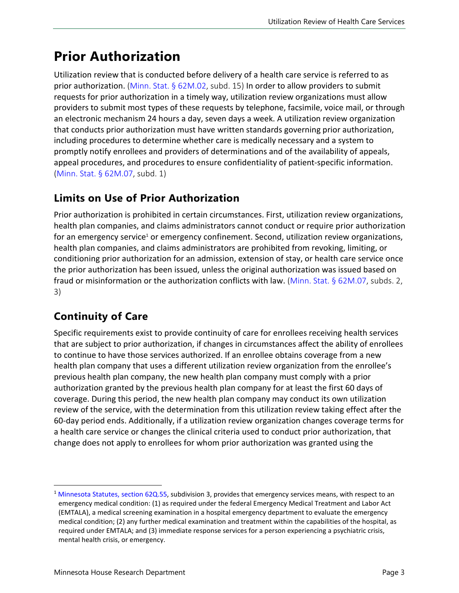### **Prior Authorization**

Utilization review that is conducted before delivery of a health care service is referred to as prior authorization. ([Minn. Stat. § 62M.02](https://www.revisor.mn.gov/statutes/2021/cite/62M.02), subd. 15) In order to allow providers to submit requests for prior authorization in a timely way, utilization review organizations must allow providers to submit most types of these requests by telephone, facsimile, voice mail, or through an electronic mechanism 24 hours a day, seven days a week. A utilization review organization that conducts prior authorization must have written standards governing prior authorization, including procedures to determine whether care is medically necessary and a system to promptly notify enrollees and providers of determinations and of the availability of appeals, appeal procedures, and procedures to ensure confidentiality of patient-specific information. ([Minn. Stat. § 62M.07](https://www.revisor.mn.gov/statutes/2021/cite/62M.07), subd. 1)

#### **Limits on Use of Prior Authorization**

Prior authorization is prohibited in certain circumstances. First, utilization review organizations, health plan companies, and claims administrators cannot conduct or require prior authorization for an emergency service<sup>[1](#page-2-0)</sup> or emergency confinement. Second, utilization review organizations, health plan companies, and claims administrators are prohibited from revoking, limiting, or conditioning prior authorization for an admission, extension of stay, or health care service once the prior authorization has been issued, unless the original authorization was issued based on fraud or misinformation or the authorization conflicts with law. [\(Minn. Stat. § 62M.07](https://www.revisor.mn.gov/statutes/2021/cite/62M.07), subds. 2, 3)

#### **Continuity of Care**

Specific requirements exist to provide continuity of care for enrollees receiving health services that are subject to prior authorization, if changes in circumstances affect the ability of enrollees to continue to have those services authorized. If an enrollee obtains coverage from a new health plan company that uses a different utilization review organization from the enrollee's previous health plan company, the new health plan company must comply with a prior authorization granted by the previous health plan company for at least the first 60 days of coverage. During this period, the new health plan company may conduct its own utilization review of the service, with the determination from this utilization review taking effect after the 60-day period ends. Additionally, if a utilization review organization changes coverage terms for a health care service or changes the clinical criteria used to conduct prior authorization, that change does not apply to enrollees for whom prior authorization was granted using the

<span id="page-2-0"></span><sup>&</sup>lt;sup>1</sup> [Minnesota Statutes,](https://www.revisor.mn.gov/statutes/2021/cite/62Q.55) section 62Q.55, subdivision 3, provides that emergency services means, with respect to an emergency medical condition: (1) as required under the federal Emergency Medical Treatment and Labor Act (EMTALA), a medical screening examination in a hospital emergency department to evaluate the emergency medical condition; (2) any further medical examination and treatment within the capabilities of the hospital, as required under EMTALA; and (3) immediate response services for a person experiencing a psychiatric crisis, mental health crisis, or emergency.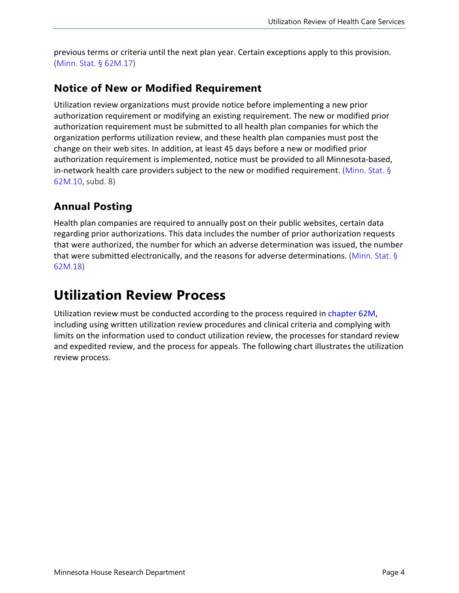previous terms or criteria until the next plan year. Certain exceptions apply to this provision. ([Minn. Stat. § 62M.17\)](https://www.revisor.mn.gov/statutes/2021/cite/62M.17)

#### **Notice of New or Modified Requirement**

Utilization review organizations must provide notice before implementing a new prior authorization requirement or modifying an existing requirement. The new or modified prior authorization requirement must be submitted to all health plan companies for which the organization performs utilization review, and these health plan companies must post the change on their web sites. In addition, at least 45 days before a new or modified prior authorization requirement is implemented, notice must be provided to all Minnesota-based, in-network health care providers subject to the new or modified requirement. [\(Minn. Stat. §](https://www.revisor.mn.gov/statutes/2021/cite/62M.10) [62M.10,](https://www.revisor.mn.gov/statutes/2021/cite/62M.10) subd. 8)

#### **Annual Posting**

Health plan companies are required to annually post on their public websites, certain data regarding prior authorizations. This data includes the number of prior authorization requests that were authorized, the number for which an adverse determination was issued, the number that were submitted electronically, and the reasons for adverse determinations. [\(Minn. Stat. §](https://www.revisor.mn.gov/statutes/2021/cite/62M.18) [62M.18\)](https://www.revisor.mn.gov/statutes/2021/cite/62M.18)

### **Utilization Review Process**

Utilization review must be conducted according to the process required in [chapter](https://www.revisor.mn.gov/statutes/2021/cite/62M) 62M, including using written utilization review procedures and clinical criteria and complying with limits on the information used to conduct utilization review, the processes for standard review and expedited review, and the process for appeals. The following chart illustrates the utilization review process.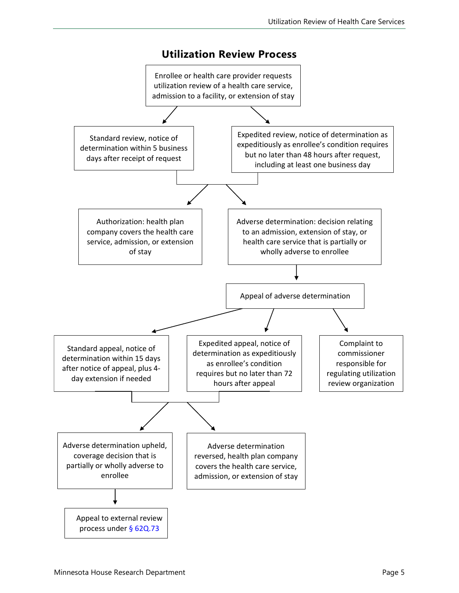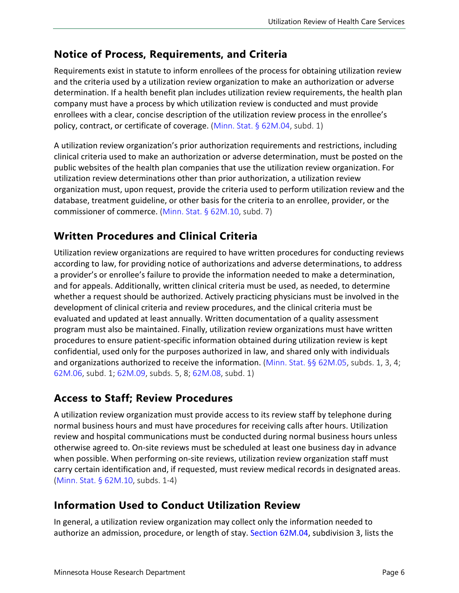#### **Notice of Process, Requirements, and Criteria**

Requirements exist in statute to inform enrollees of the process for obtaining utilization review and the criteria used by a utilization review organization to make an authorization or adverse determination. If a health benefit plan includes utilization review requirements, the health plan company must have a process by which utilization review is conducted and must provide enrollees with a clear, concise description of the utilization review process in the enrollee's policy, contract, or certificate of coverage. [\(Minn. Stat. § 62M.04](https://www.revisor.mn.gov/statutes/2021/cite/62M.04), subd. 1)

A utilization review organization's prior authorization requirements and restrictions, including clinical criteria used to make an authorization or adverse determination, must be posted on the public websites of the health plan companies that use the utilization review organization. For utilization review determinations other than prior authorization, a utilization review organization must, upon request, provide the criteria used to perform utilization review and the database, treatment guideline, or other basis for the criteria to an enrollee, provider, or the commissioner of commerce. ([Minn. Stat. § 62M.10,](https://www.revisor.mn.gov/statutes/2021/cite/62M.10) subd. 7)

#### **Written Procedures and Clinical Criteria**

Utilization review organizations are required to have written procedures for conducting reviews according to law, for providing notice of authorizations and adverse determinations, to address a provider's or enrollee's failure to provide the information needed to make a determination, and for appeals. Additionally, written clinical criteria must be used, as needed, to determine whether a request should be authorized. Actively practicing physicians must be involved in the development of clinical criteria and review procedures, and the clinical criteria must be evaluated and updated at least annually. Written documentation of a quality assessment program must also be maintained. Finally, utilization review organizations must have written procedures to ensure patient-specific information obtained during utilization review is kept confidential, used only for the purposes authorized in law, and shared only with individuals and organizations authorized to receive the information. ([Minn. Stat. §§ 62M.05](https://www.revisor.mn.gov/statutes/2021/cite/62M.05), subds. 1, 3, 4; [62M.06,](https://www.revisor.mn.gov/statutes/2021/cite/62M.06) subd. 1; [62M.09](https://www.revisor.mn.gov/statutes/2021/cite/62M.09), subds. 5, 8; [62M.08,](https://www.revisor.mn.gov/statutes/2021/cite/62M.08) subd. 1)

#### **Access to Staff; Review Procedures**

A utilization review organization must provide access to its review staff by telephone during normal business hours and must have procedures for receiving calls after hours. Utilization review and hospital communications must be conducted during normal business hours unless otherwise agreed to. On-site reviews must be scheduled at least one business day in advance when possible. When performing on-site reviews, utilization review organization staff must carry certain identification and, if requested, must review medical records in designated areas. [\(Minn. Stat. § 62M.10](https://www.revisor.mn.gov/statutes/2021/cite/62M.10), subds. 1-4)

#### **Information Used to Conduct Utilization Review**

In general, a utilization review organization may collect only the information needed to authorize an admission, procedure, or length of stay. [Section 62M.04](https://www.revisor.mn.gov/statutes/2021/cite/62M.04), subdivision 3, lists the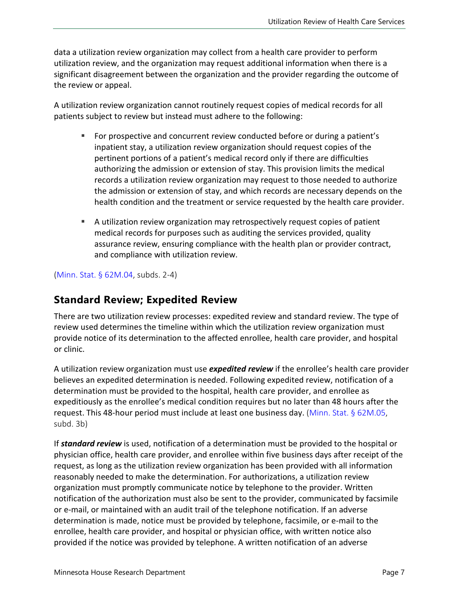data a utilization review organization may collect from a health care provider to perform utilization review, and the organization may request additional information when there is a significant disagreement between the organization and the provider regarding the outcome of the review or appeal.

A utilization review organization cannot routinely request copies of medical records for all patients subject to review but instead must adhere to the following:

- For prospective and concurrent review conducted before or during a patient's inpatient stay, a utilization review organization should request copies of the pertinent portions of a patient's medical record only if there are difficulties authorizing the admission or extension of stay. This provision limits the medical records a utilization review organization may request to those needed to authorize the admission or extension of stay, and which records are necessary depends on the health condition and the treatment or service requested by the health care provider.
- A utilization review organization may retrospectively request copies of patient medical records for purposes such as auditing the services provided, quality assurance review, ensuring compliance with the health plan or provider contract, and compliance with utilization review.

([Minn. Stat. § 62M.04,](https://www.revisor.mn.gov/statutes/2021/cite/62M.04) subds. 2-4)

#### **Standard Review; Expedited Review**

There are two utilization review processes: expedited review and standard review. The type of review used determines the timeline within which the utilization review organization must provide notice of its determination to the affected enrollee, health care provider, and hospital or clinic.

A utilization review organization must use *expedited review* if the enrollee's health care provider believes an expedited determination is needed. Following expedited review, notification of a determination must be provided to the hospital, health care provider, and enrollee as expeditiously as the enrollee's medical condition requires but no later than 48 hours after the request. This 48-hour period must include at least one business day. ([Minn. Stat. §](https://www.revisor.mn.gov/statutes/2021/cite/62M.05) 62M.05, subd. 3b)

If *standard review* is used, notification of a determination must be provided to the hospital or physician office, health care provider, and enrollee within five business days after receipt of the request, as long as the utilization review organization has been provided with all information reasonably needed to make the determination. For authorizations, a utilization review organization must promptly communicate notice by telephone to the provider. Written notification of the authorization must also be sent to the provider, communicated by facsimile or e-mail, or maintained with an audit trail of the telephone notification. If an adverse determination is made, notice must be provided by telephone, facsimile, or e-mail to the enrollee, health care provider, and hospital or physician office, with written notice also provided if the notice was provided by telephone. A written notification of an adverse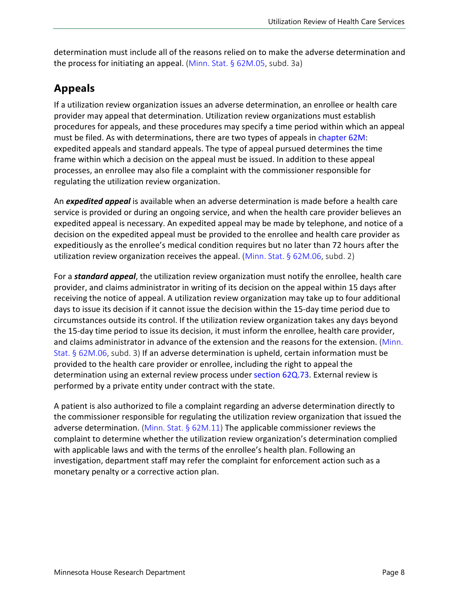determination must include all of the reasons relied on to make the adverse determination and the process for initiating an appeal. ([Minn. Stat. § 62M.05](https://www.revisor.mn.gov/statutes/2021/cite/62M.05), subd. 3a)

### **Appeals**

If a utilization review organization issues an adverse determination, an enrollee or health care provider may appeal that determination. Utilization review organizations must establish procedures for appeals, and these procedures may specify a time period within which an appeal must be filed. As with determinations, there are two types of appeals in [chapter 62M:](https://www.revisor.mn.gov/statutes/2021/cite/62M) expedited appeals and standard appeals. The type of appeal pursued determines the time frame within which a decision on the appeal must be issued. In addition to these appeal processes, an enrollee may also file a complaint with the commissioner responsible for regulating the utilization review organization.

An *expedited appeal* is available when an adverse determination is made before a health care service is provided or during an ongoing service, and when the health care provider believes an expedited appeal is necessary. An expedited appeal may be made by telephone, and notice of a decision on the expedited appeal must be provided to the enrollee and health care provider as expeditiously as the enrollee's medical condition requires but no later than 72 hours after the utilization review organization receives the appeal. ([Minn. Stat. § 62M.06,](https://www.revisor.mn.gov/statutes/2021/cite/62M.06) subd. 2)

For a *standard appeal*, the utilization review organization must notify the enrollee, health care provider, and claims administrator in writing of its decision on the appeal within 15 days after receiving the notice of appeal. A utilization review organization may take up to four additional days to issue its decision if it cannot issue the decision within the 15-day time period due to circumstances outside its control. If the utilization review organization takes any days beyond the 15-day time period to issue its decision, it must inform the enrollee, health care provider, and claims administrator in advance of the extension and the reasons for the extension. [\(Minn.](https://www.revisor.mn.gov/statutes/2021/cite/62M.06) [Stat. § 62M.06,](https://www.revisor.mn.gov/statutes/2021/cite/62M.06) subd. 3) If an adverse determination is upheld, certain information must be provided to the health care provider or enrollee, including the right to appeal the determination using an external review process under [section 62Q.73.](https://www.revisor.mn.gov/statutes/2021/cite/62Q.73) External review is performed by a private entity under contract with the state.

A patient is also authorized to file a complaint regarding an adverse determination directly to the commissioner responsible for regulating the utilization review organization that issued the adverse determination. (Minn. Stat.  $\S$  62M.11) The applicable commissioner reviews the complaint to determine whether the utilization review organization's determination complied with applicable laws and with the terms of the enrollee's health plan. Following an investigation, department staff may refer the complaint for enforcement action such as a monetary penalty or a corrective action plan.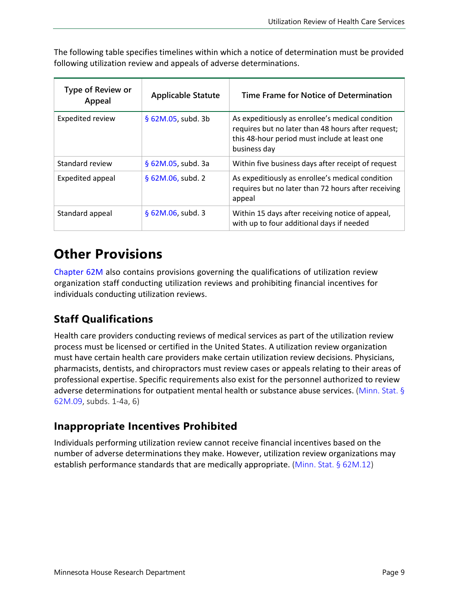| <b>Type of Review or</b><br>Appeal | <b>Applicable Statute</b> | Time Frame for Notice of Determination                                                                                                                                  |
|------------------------------------|---------------------------|-------------------------------------------------------------------------------------------------------------------------------------------------------------------------|
| Expedited review                   | $$62M.05$ , subd. 3b      | As expeditiously as enrollee's medical condition<br>requires but no later than 48 hours after request;<br>this 48-hour period must include at least one<br>business day |
| Standard review                    | § 62M.05, subd. 3a        | Within five business days after receipt of request                                                                                                                      |
| Expedited appeal                   | § 62M.06, subd. 2         | As expeditiously as enrollee's medical condition<br>requires but no later than 72 hours after receiving<br>appeal                                                       |
| Standard appeal                    | $§$ 62M.06, subd. 3       | Within 15 days after receiving notice of appeal,<br>with up to four additional days if needed                                                                           |

The following table specifies timelines within which a notice of determination must be provided following utilization review and appeals of adverse determinations.

### **Other Provisions**

[Chapter 62M](https://www.revisor.mn.gov/statutes/2021/cite/62M) also contains provisions governing the qualifications of utilization review organization staff conducting utilization reviews and prohibiting financial incentives for individuals conducting utilization reviews.

#### **Staff Qualifications**

Health care providers conducting reviews of medical services as part of the utilization review process must be licensed or certified in the United States. A utilization review organization must have certain health care providers make certain utilization review decisions. Physicians, pharmacists, dentists, and chiropractors must review cases or appeals relating to their areas of professional expertise. Specific requirements also exist for the personnel authorized to review adverse determinations for outpatient mental health or substance abuse services. ([Minn. Stat. §](https://www.revisor.mn.gov/statutes/2021/cite/62M.09) [62M.09](https://www.revisor.mn.gov/statutes/2021/cite/62M.09), subds. 1-4a, 6)

#### **Inappropriate Incentives Prohibited**

Individuals performing utilization review cannot receive financial incentives based on the number of adverse determinations they make. However, utilization review organizations may establish performance standards that are medically appropriate. [\(Minn. Stat. § 62M.12\)](https://www.revisor.mn.gov/statutes/2021/cite/62M.12)